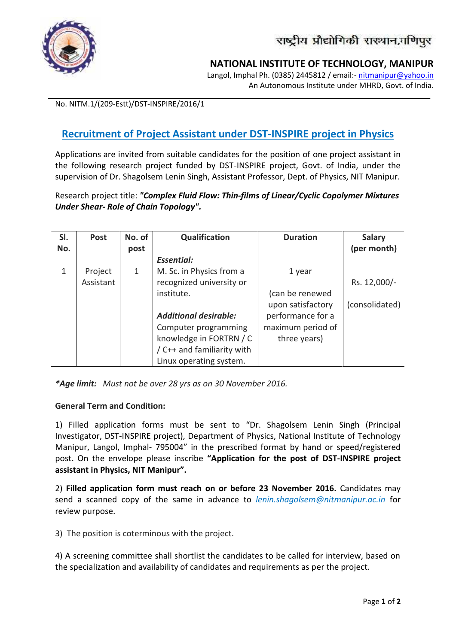

## **NATIONAL INSTITUTE OF TECHNOLOGY, MANIPUR**

Langol, Imphal Ph. (0385) 2445812 / email:- nitmanipur@yahoo.in An Autonomous Institute under MHRD, Govt. of India.

No. NITM.1/(209-Estt)/DST-INSPIRE/2016/1

## **Recruitment of Project Assistant under DST-INSPIRE project in Physics**

Applications are invited from suitable candidates for the position of one project assistant in the following research project funded by DST-INSPIRE project, Govt. of India, under the supervision of Dr. Shagolsem Lenin Singh, Assistant Professor, Dept. of Physics, NIT Manipur.

Research project title: *"Complex Fluid Flow: Thin-films of Linear/Cyclic Copolymer Mixtures Under Shear- Role of Chain Topology".*

| SI. | <b>Post</b> | No. of | Qualification                | <b>Duration</b>   | <b>Salary</b>  |
|-----|-------------|--------|------------------------------|-------------------|----------------|
| No. |             | post   |                              |                   | (per month)    |
|     |             |        | <b>Essential:</b>            |                   |                |
| 1   | Project     | 1      | M. Sc. in Physics from a     | 1 year            |                |
|     | Assistant   |        | recognized university or     |                   | Rs. 12,000/-   |
|     |             |        | institute.                   | (can be renewed   |                |
|     |             |        |                              | upon satisfactory | (consolidated) |
|     |             |        | <b>Additional desirable:</b> | performance for a |                |
|     |             |        | Computer programming         | maximum period of |                |
|     |             |        | knowledge in FORTRN / C      | three years)      |                |
|     |             |        | / C++ and familiarity with   |                   |                |
|     |             |        | Linux operating system.      |                   |                |

*\*Age limit: Must not be over 28 yrs as on 30 November 2016.*

## **General Term and Condition:**

1) Filled application forms must be sent to "Dr. Shagolsem Lenin Singh (Principal Investigator, DST-INSPIRE project), Department of Physics, National Institute of Technology Manipur, Langol, Imphal- 795004" in the prescribed format by hand or speed/registered post. On the envelope please inscribe **"Application for the post of DST-INSPIRE project assistant in Physics, NIT Manipur".**

2) **Filled application form must reach on or before 23 November 2016.** Candidates may send a scanned copy of the same in advance to *lenin.shagolsem@nitmanipur.ac.in* for review purpose.

3) The position is coterminous with the project.

4) A screening committee shall shortlist the candidates to be called for interview, based on the specialization and availability of candidates and requirements as per the project.